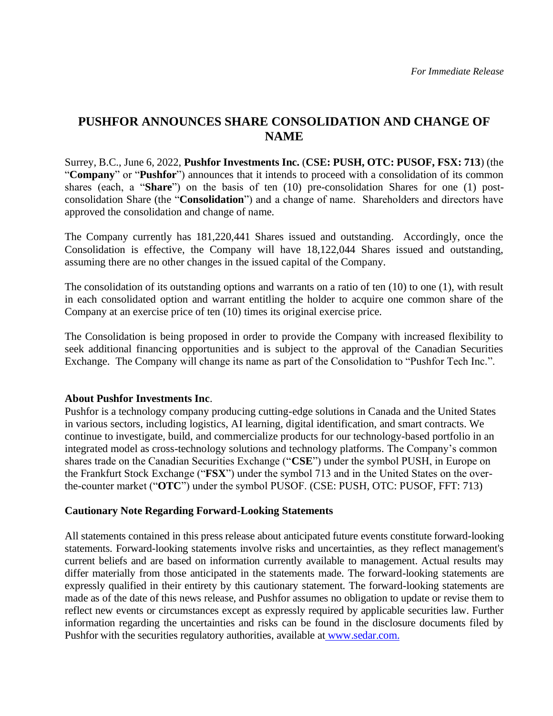# **PUSHFOR ANNOUNCES SHARE CONSOLIDATION AND CHANGE OF NAME**

Surrey, B.C., June 6, 2022, **Pushfor Investments Inc.** (**CSE: PUSH, OTC: PUSOF, FSX: 713**) (the "**Company**" or "**Pushfor**") announces that it intends to proceed with a consolidation of its common shares (each, a "**Share**") on the basis of ten (10) pre-consolidation Shares for one (1) postconsolidation Share (the "**Consolidation**") and a change of name. Shareholders and directors have approved the consolidation and change of name.

The Company currently has 181,220,441 Shares issued and outstanding. Accordingly, once the Consolidation is effective, the Company will have 18,122,044 Shares issued and outstanding, assuming there are no other changes in the issued capital of the Company.

The consolidation of its outstanding options and warrants on a ratio of ten (10) to one (1), with result in each consolidated option and warrant entitling the holder to acquire one common share of the Company at an exercise price of ten (10) times its original exercise price.

The Consolidation is being proposed in order to provide the Company with increased flexibility to seek additional financing opportunities and is subject to the approval of the Canadian Securities Exchange. The Company will change its name as part of the Consolidation to "Pushfor Tech Inc.".

#### **About Pushfor Investments Inc**.

Pushfor is a technology company producing cutting-edge solutions in Canada and the United States in various sectors, including logistics, AI learning, digital identification, and smart contracts. We continue to investigate, build, and commercialize products for our technology-based portfolio in an integrated model as cross-technology solutions and technology platforms. The Company's common shares trade on the Canadian Securities Exchange ("**CSE**") under the symbol PUSH, in Europe on the Frankfurt Stock Exchange ("**FSX**") under the symbol 713 and in the United States on the overthe-counter market ("**OTC**") under the symbol PUSOF. (CSE: PUSH, OTC: PUSOF, FFT: 713)

#### **Cautionary Note Regarding Forward-Looking Statements**

All statements contained in this press release about anticipated future events constitute forward-looking statements. Forward-looking statements involve risks and uncertainties, as they reflect management's current beliefs and are based on information currently available to management. Actual results may differ materially from those anticipated in the statements made. The forward-looking statements are expressly qualified in their entirety by this cautionary statement. The forward-looking statements are made as of the date of this news release, and Pushfor assumes no obligation to update or revise them to reflect new events or circumstances except as expressly required by applicable securities law. Further information regarding the uncertainties and risks can be found in the disclosure documents filed by Pushfor with the securities regulatory authorities, available at [www.sedar.com.](http://www.sedar.com/)